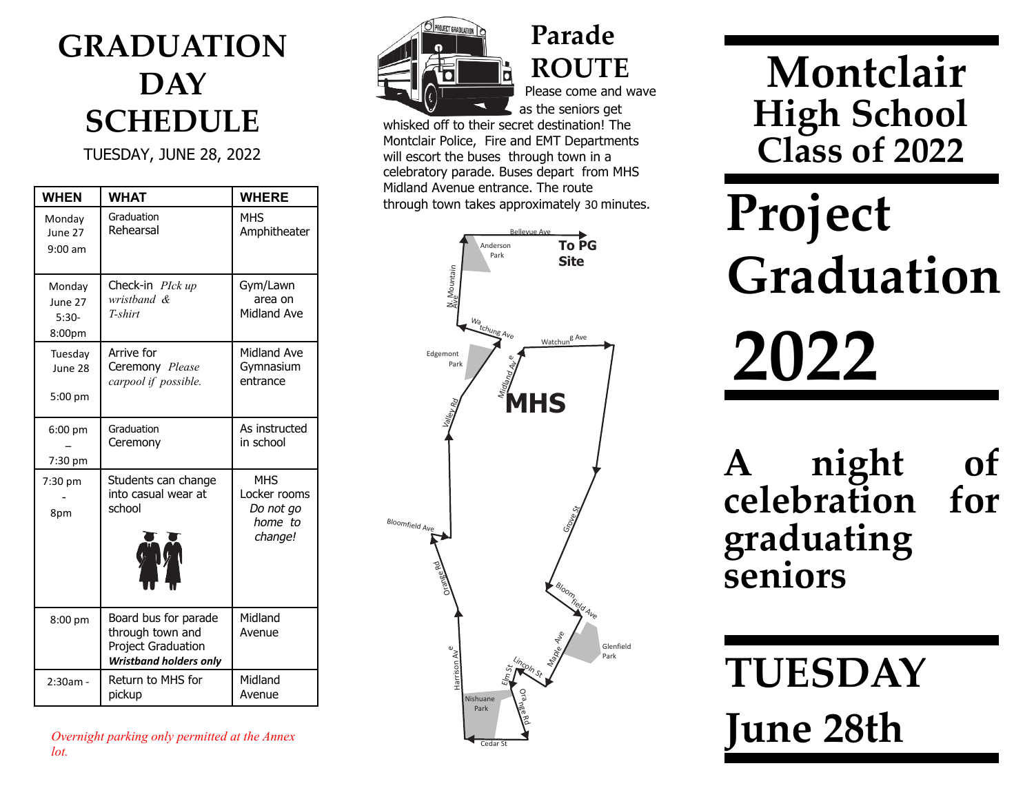#### GRADUATION **DAY** SCHEDULE

TUESDAY, JUNE 28, 2022

| <b>WHEN</b>                            | <b>WHAT</b>                                                                                     | <b>WHERE</b>                                                  |
|----------------------------------------|-------------------------------------------------------------------------------------------------|---------------------------------------------------------------|
| Monday<br>June 27<br>$9:00$ am         | Graduation<br>Rehearsal                                                                         | <b>MHS</b><br>Amphitheater                                    |
| Monday<br>June 27<br>$5:30-$<br>8:00pm | Check-in PIck up<br>wristband &<br>T-shirt                                                      | Gym/Lawn<br>area on<br>Midland Ave                            |
| Tuesday<br>June 28<br>$5:00$ pm        | Arrive for<br>Ceremony Please<br>carpool if possible.                                           | Midland Ave<br>Gymnasium<br>entrance                          |
| $6:00$ pm<br>7:30 pm                   | Graduation<br>Ceremony                                                                          | As instructed<br>in school                                    |
| 7:30 pm<br>8pm                         | Students can change<br>into casual wear at<br>school                                            | <b>MHS</b><br>Locker rooms<br>Do not go<br>home to<br>change! |
| 8:00 pm                                | Board bus for parade<br>through town and<br>Project Graduation<br><b>Wristband holders only</b> | Midland<br>Avenue                                             |
| $2:30am -$                             | Return to MHS for<br>pickup                                                                     | Midland<br>Avenue                                             |

Overnight parking only permitted at the Annex lot.



**ROUTE** Please come and wave as the seniors get

Parade

whisked off to their secret destination! The Montclair Police, Fire and EMT Departments will escort the buses through town in a celebratory parade. Buses depart from MHS Midland Avenue entrance. The route through town takes approximately 30 minutes.



# Montclair High School Class of 2022

# Project Graduation 2022

night of<br>ration for celebration graduating seniors

TUESDAY

June 28th